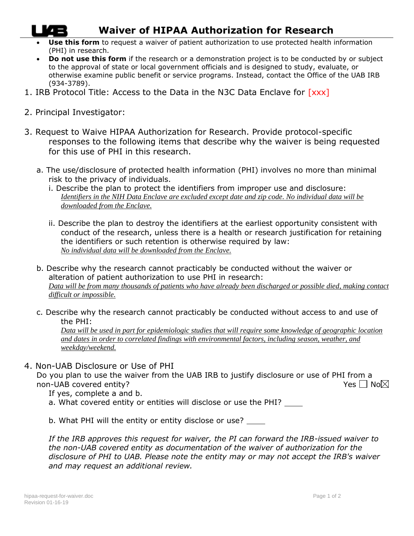## **Waiver of HIPAA Authorization for Research**

- **Use this form** to request a waiver of patient authorization to use protected health information (PHI) in research.
- **Do not use this form** if the research or a demonstration project is to be conducted by or subject to the approval of state or local government officials and is designed to study, evaluate, or otherwise examine public benefit or service programs. Instead, contact the Office of the UAB IRB (934-3789).
- 1. IRB Protocol Title: Access to the Data in the N3C Data Enclave for [xxx]
- 2. Principal Investigator:
- 3. Request to Waive HIPAA Authorization for Research. Provide protocol-specific responses to the following items that describe why the waiver is being requested for this use of PHI in this research.
	- a. The use/disclosure of protected health information (PHI) involves no more than minimal risk to the privacy of individuals.
		- i. Describe the plan to protect the identifiers from improper use and disclosure: *Identifiers in the NIH Data Enclave are excluded except date and zip code. No individual data will be downloaded from the Enclave.*
		- ii. Describe the plan to destroy the identifiers at the earliest opportunity consistent with conduct of the research, unless there is a health or research justification for retaining the identifiers or such retention is otherwise required by law: *No individual data will be downloaded from the Enclave.*
	- b. Describe why the research cannot practicably be conducted without the waiver or alteration of patient authorization to use PHI in research: *Data will be from many thousands of patients who have already been discharged or possible died, making contact difficult or impossible.*
	- c. Describe why the research cannot practicably be conducted without access to and use of the PHI:

*Data will be used in part for epidemiologic studies that will require some knowledge of geographic location and dates in order to correlated findings with environmental factors, including season, weather, and weekday/weekend.*

4. Non-UAB Disclosure or Use of PHI

Do you plan to use the waiver from the UAB IRB to justify disclosure or use of PHI from a non-UAB covered entity?  $Yes \Box No \boxtimes$ 

If yes, complete a and b.

a. What covered entity or entities will disclose or use the PHI?

b. What PHI will the entity or entity disclose or use? \_\_\_\_

*If the IRB approves this request for waiver, the PI can forward the IRB-issued waiver to the non-UAB covered entity as documentation of the waiver of authorization for the disclosure of PHI to UAB. Please note the entity may or may not accept the IRB's waiver and may request an additional review.*